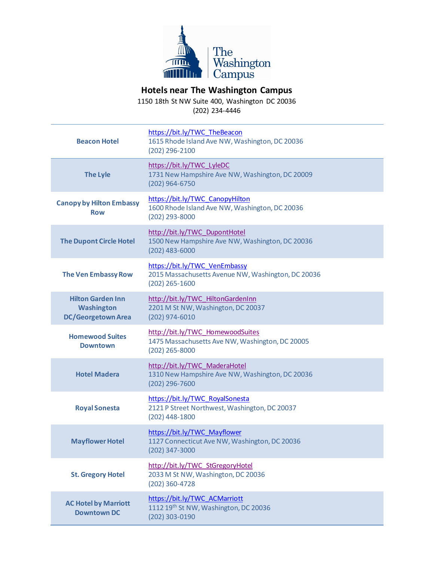

## **Hotels near The Washington Campus**

1150 18th St NW Suite 400, Washington DC 20036 (202) 234-4446

| <b>Beacon Hotel</b>                                                        | https://bit.ly/TWC TheBeacon<br>1615 Rhode Island Ave NW, Washington, DC 20036<br>(202) 296-2100        |
|----------------------------------------------------------------------------|---------------------------------------------------------------------------------------------------------|
| <b>The Lyle</b>                                                            | https://bit.ly/TWC_LyleDC<br>1731 New Hampshire Ave NW, Washington, DC 20009<br>(202) 964-6750          |
| <b>Canopy by Hilton Embassy</b><br><b>Row</b>                              | https://bit.ly/TWC CanopyHilton<br>1600 Rhode Island Ave NW, Washington, DC 20036<br>(202) 293-8000     |
| <b>The Dupont Circle Hotel</b>                                             | http://bit.ly/TWC DupontHotel<br>1500 New Hampshire Ave NW, Washington, DC 20036<br>$(202)$ 483-6000    |
| <b>The Ven Embassy Row</b>                                                 | https://bit.ly/TWC_VenEmbassy<br>2015 Massachusetts Avenue NW, Washington, DC 20036<br>$(202)$ 265-1600 |
| <b>Hilton Garden Inn</b><br><b>Washington</b><br><b>DC/Georgetown Area</b> | http://bit.ly/TWC HiltonGardenInn<br>2201 M St NW, Washington, DC 20037<br>(202) 974-6010               |
| <b>Homewood Suites</b><br><b>Downtown</b>                                  | http://bit.ly/TWC HomewoodSuites<br>1475 Massachusetts Ave NW, Washington, DC 20005<br>(202) 265-8000   |
| <b>Hotel Madera</b>                                                        | http://bit.ly/TWC MaderaHotel<br>1310 New Hampshire Ave NW, Washington, DC 20036<br>(202) 296-7600      |
| <b>Royal Sonesta</b>                                                       | https://bit.ly/TWC RoyalSonesta<br>2121 P Street Northwest, Washington, DC 20037<br>(202) 448-1800      |
| <b>Mayflower Hotel</b>                                                     | https://bit.ly/TWC Mayflower<br>1127 Connecticut Ave NW, Washington, DC 20036<br>$(202)$ 347-3000       |
| <b>St. Gregory Hotel</b>                                                   | http://bit.ly/TWC StGregoryHotel<br>2033 M St NW, Washington, DC 20036<br>(202) 360-4728                |
| <b>AC Hotel by Marriott</b><br><b>Downtown DC</b>                          | https://bit.ly/TWC ACMarriott<br>1112 19 <sup>th</sup> St NW, Washington, DC 20036<br>(202) 303-0190    |